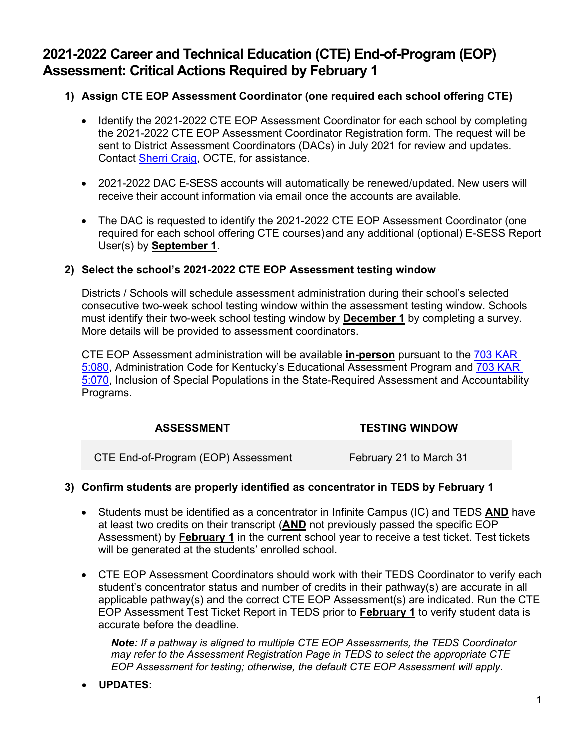# **2021-2022 Career and Technical Education (CTE) End-of-Program (EOP) Assessment: Critical Actions Required by February 1**

### **1) Assign CTE EOP Assessment Coordinator (one required each school offering CTE)**

- Identify the 2021-2022 CTE EOP Assessment Coordinator for each school by completing the 2021-2022 CTE EOP Assessment Coordinator Registration form. The request will be sent to District Assessment Coordinators (DACs) in July 2021 for review and updates. Contact [Sherri Craig,](mailto:sherri.craig@education.ky.gov) OCTE, for assistance.
- 2021-2022 DAC E-SESS accounts will automatically be renewed/updated. New users will receive their account information via email once the accounts are available.
- The DAC is requested to identify the 2021-2022 CTE EOP Assessment Coordinator (one required for each school offering CTE courses)and any additional (optional) E-SESS Report User(s) by **September 1**.

#### **2) Select the school's 2021-2022 CTE EOP Assessment testing window**

Districts / Schools will schedule assessment administration during their school's selected consecutive two-week school testing window within the assessment testing window. Schools must identify their two-week school testing window by **December 1** by completing a survey. More details will be provided to assessment coordinators.

CTE EOP Assessment administration will be available **in-person** pursuant to the [703 KAR](https://education.ky.gov/AA/distsupp/Documents/703%20KAR%205080%20Final.pdf)  [5:080,](https://education.ky.gov/AA/distsupp/Documents/703%20KAR%205080%20Final.pdf) Administration Code for Kentucky's Educational Assessment Program and [703 KAR](https://www.education.ky.gov/AA/distsupp/Documents/703_KAR_5070_DOC_INC_REF_OAA_April_2021.pdf)  [5:070,](https://www.education.ky.gov/AA/distsupp/Documents/703_KAR_5070_DOC_INC_REF_OAA_April_2021.pdf) Inclusion of Special Populations in the State-Required Assessment and Accountability Programs.

#### **ASSESSMENT TESTING WINDOW**

CTE End-of-Program (EOP) Assessment February 21 to March 31

## **3) Confirm students are properly identified as concentrator in TEDS by February 1**

- Students must be identified as a concentrator in Infinite Campus (IC) and TEDS **AND** have at least two credits on their transcript (**AND** not previously passed the specific EOP Assessment) by **February 1** in the current school year to receive a test ticket. Test tickets will be generated at the students' enrolled school.
- CTE EOP Assessment Coordinators should work with their TEDS Coordinator to verify each student's concentrator status and number of credits in their pathway(s) are accurate in all applicable pathway(s) and the correct CTE EOP Assessment(s) are indicated. Run the CTE EOP Assessment Test Ticket Report in TEDS prior to **February 1** to verify student data is accurate before the deadline.

*Note: If a pathway is aligned to multiple CTE EOP Assessments, the TEDS Coordinator may refer to the Assessment Registration Page in TEDS to select the appropriate CTE EOP Assessment for testing; otherwise, the default CTE EOP Assessment will apply.*

• **UPDATES:**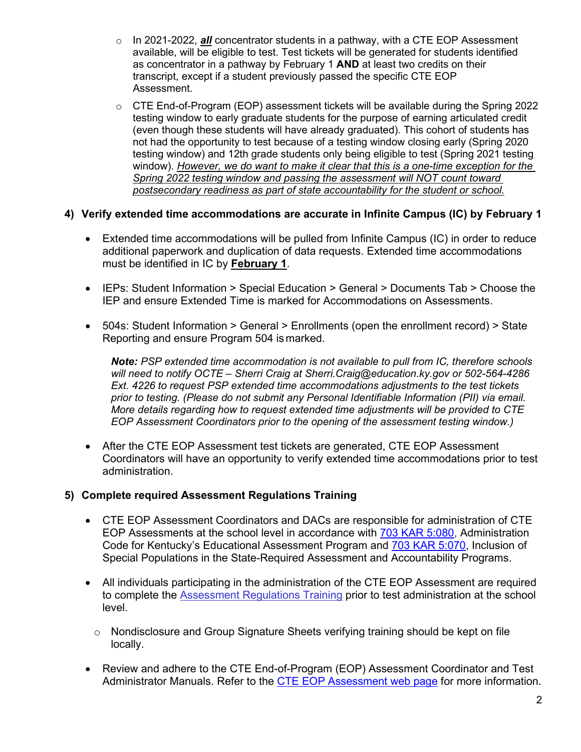- o In 2021-2022, *all* concentrator students in a pathway, with a CTE EOP Assessment available, will be eligible to test. Test tickets will be generated for students identified as concentrator in a pathway by February 1 **AND** at least two credits on their transcript, except if a student previously passed the specific CTE EOP Assessment.
- $\circ$  CTE End-of-Program (EOP) assessment tickets will be available during the Spring 2022 testing window to early graduate students for the purpose of earning articulated credit (even though these students will have already graduated). This cohort of students has not had the opportunity to test because of a testing window closing early (Spring 2020 testing window) and 12th grade students only being eligible to test (Spring 2021 testing window). *However, we do want to make it clear that this is a one-time exception for the Spring 2022 testing window and passing the assessment will NOT count toward postsecondary readiness as part of state accountability for the student or school.*

### **4) Verify extended time accommodations are accurate in Infinite Campus (IC) by February 1**

- Extended time accommodations will be pulled from Infinite Campus (IC) in order to reduce additional paperwork and duplication of data requests. Extended time accommodations must be identified in IC by **February 1**.
- IEPs: Student Information > Special Education > General > Documents Tab > Choose the IEP and ensure Extended Time is marked for Accommodations on Assessments.
- 504s: Student Information > General > Enrollments (open the enrollment record) > State Reporting and ensure Program 504 ismarked.

*Note: PSP extended time accommodation is not available to pull from IC, therefore schools will need to notify OCTE – Sherri Craig at [Sherri.Craig@education.ky.gov o](mailto:Sherri.Craig@education.ky.gov)r 502-564-4286 Ext. 4226 to request PSP extended time accommodations adjustments to the test tickets prior to testing. (Please do not submit any Personal Identifiable Information (PII) via email. More details regarding how to request extended time adjustments will be provided to CTE EOP Assessment Coordinators prior to the opening of the assessment testing window.)*

• After the CTE EOP Assessment test tickets are generated, CTE EOP Assessment Coordinators will have an opportunity to verify extended time accommodations prior to test administration.

#### **5) Complete required [Assessment Regulations Training](http://education.ky.gov/aa/distsupp/pages/admincode.aspx)**

- CTE EOP Assessment Coordinators and DACs are responsible for administration of CTE EOP Assessments at the school level in accordance with [703 KAR 5:080,](https://education.ky.gov/AA/distsupp/Documents/703%20KAR%205080%20Final.pdf) Administration Code for Kentucky's Educational Assessment Program and [703 KAR 5:070,](https://www.education.ky.gov/AA/distsupp/Documents/703_KAR_5070_DOC_INC_REF_OAA_April_2021.pdf) Inclusion of Special Populations in the State-Required Assessment and Accountability Programs.
- All individuals participating in the administration of the CTE EOP Assessment are required to complete the [Assessment Regulations Training](https://education.ky.gov/aa/distsupp/pages/admincode.aspx) prior to test administration at the school level.
	- $\circ$  Nondisclosure and Group Signature Sheets verifying training should be kept on file locally.
- Review and adhere to the CTE End-of-Program (EOP) Assessment Coordinator and Test Administrator Manuals. Refer to the [CTE EOP Assessment web page](https://education.ky.gov/CTE/endofprog/Pages/default.aspx) for more information.